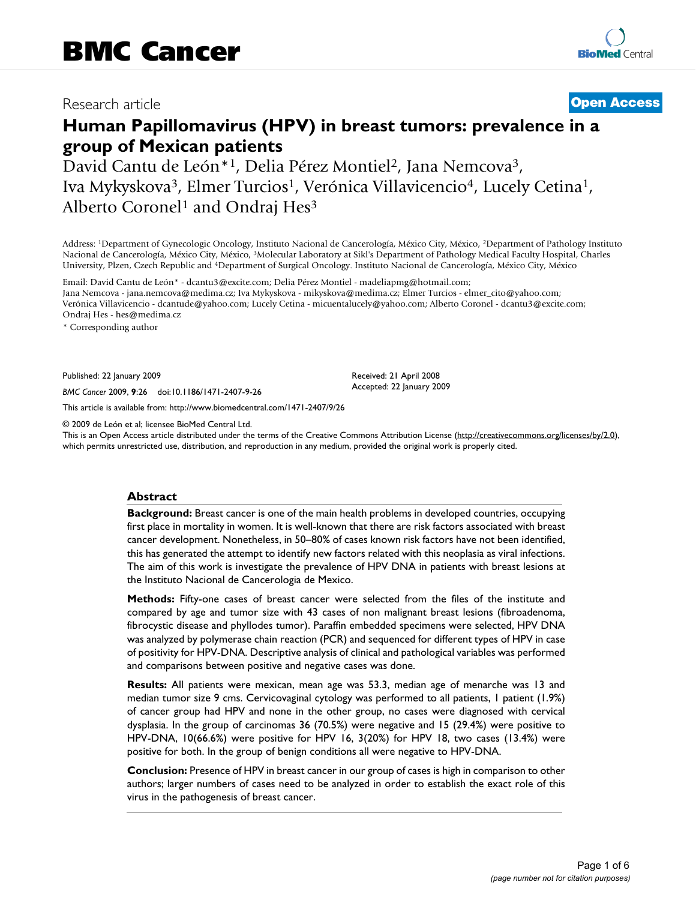## Research article **[Open Access](http://www.biomedcentral.com/info/about/charter/)**

# **Human Papillomavirus (HPV) in breast tumors: prevalence in a group of Mexican patients**

David Cantu de León<sup>\*1</sup>, Delia Pérez Montiel<sup>2</sup>, Jana Nemcova<sup>3</sup>, Iva Mykyskova3, Elmer Turcios1, Verónica Villavicencio4, Lucely Cetina1, Alberto Coronel<sup>1</sup> and Ondraj Hes<sup>3</sup>

Address: 1Department of Gynecologic Oncology, Instituto Nacional de Cancerología, México City, México, 2Department of Pathology Instituto Nacional de Cancerología, México City, México, 3Molecular Laboratory at Sikl's Department of Pathology Medical Faculty Hospital, Charles University, Plzen, Czech Republic and 4Department of Surgical Oncology. Instituto Nacional de Cancerología, México City, México

Email: David Cantu de León\* - dcantu3@excite.com; Delia Pérez Montiel - madeliapmg@hotmail.com; Jana Nemcova - jana.nemcova@medima.cz; Iva Mykyskova - mikyskova@medima.cz; Elmer Turcios - elmer\_cito@yahoo.com; Verónica Villavicencio - dcantude@yahoo.com; Lucely Cetina - micuentalucely@yahoo.com; Alberto Coronel - dcantu3@excite.com; Ondraj Hes - hes@medima.cz

\* Corresponding author

Published: 22 January 2009

*BMC Cancer* 2009, **9**:26 doi:10.1186/1471-2407-9-26

[This article is available from: http://www.biomedcentral.com/1471-2407/9/26](http://www.biomedcentral.com/1471-2407/9/26)

© 2009 de León et al; licensee BioMed Central Ltd.

This is an Open Access article distributed under the terms of the Creative Commons Attribution License [\(http://creativecommons.org/licenses/by/2.0\)](http://creativecommons.org/licenses/by/2.0), which permits unrestricted use, distribution, and reproduction in any medium, provided the original work is properly cited.

Received: 21 April 2008 Accepted: 22 January 2009

#### **Abstract**

**Background:** Breast cancer is one of the main health problems in developed countries, occupying first place in mortality in women. It is well-known that there are risk factors associated with breast cancer development. Nonetheless, in 50–80% of cases known risk factors have not been identified, this has generated the attempt to identify new factors related with this neoplasia as viral infections. The aim of this work is investigate the prevalence of HPV DNA in patients with breast lesions at the Instituto Nacional de Cancerologia de Mexico.

**Methods:** Fifty-one cases of breast cancer were selected from the files of the institute and compared by age and tumor size with 43 cases of non malignant breast lesions (fibroadenoma, fibrocystic disease and phyllodes tumor). Paraffin embedded specimens were selected, HPV DNA was analyzed by polymerase chain reaction (PCR) and sequenced for different types of HPV in case of positivity for HPV-DNA. Descriptive analysis of clinical and pathological variables was performed and comparisons between positive and negative cases was done.

**Results:** All patients were mexican, mean age was 53.3, median age of menarche was 13 and median tumor size 9 cms. Cervicovaginal cytology was performed to all patients, 1 patient (1.9%) of cancer group had HPV and none in the other group, no cases were diagnosed with cervical dysplasia. In the group of carcinomas 36 (70.5%) were negative and 15 (29.4%) were positive to HPV-DNA, 10(66.6%) were positive for HPV 16, 3(20%) for HPV 18, two cases (13.4%) were positive for both. In the group of benign conditions all were negative to HPV-DNA.

**Conclusion:** Presence of HPV in breast cancer in our group of cases is high in comparison to other authors; larger numbers of cases need to be analyzed in order to establish the exact role of this virus in the pathogenesis of breast cancer.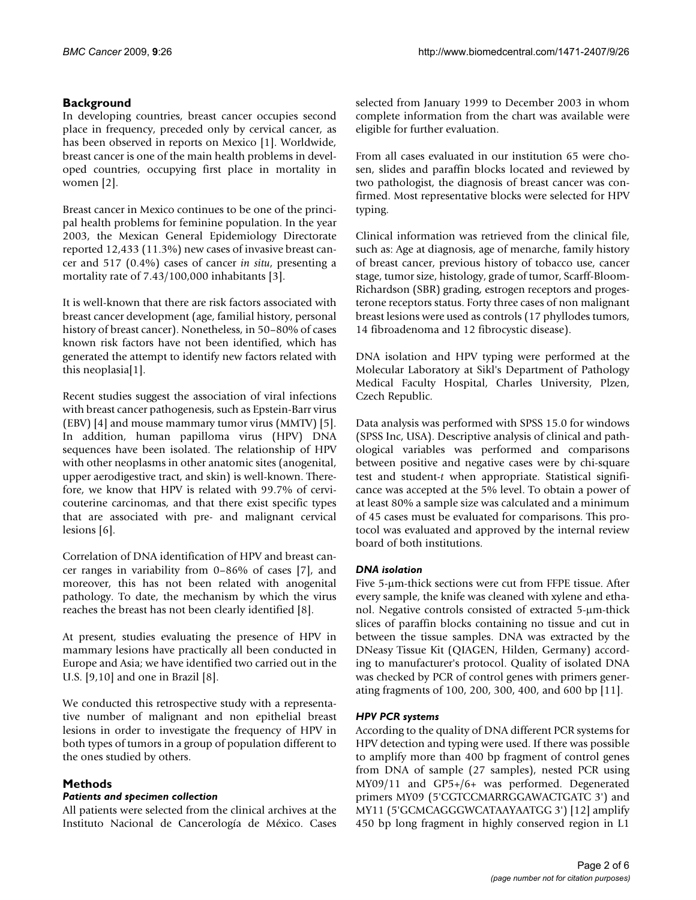### **Background**

In developing countries, breast cancer occupies second place in frequency, preceded only by cervical cancer, as has been observed in reports on Mexico [\[1\]](#page-4-0). Worldwide, breast cancer is one of the main health problems in developed countries, occupying first place in mortality in women [[2](#page-4-1)].

Breast cancer in Mexico continues to be one of the principal health problems for feminine population. In the year 2003, the Mexican General Epidemiology Directorate reported 12,433 (11.3%) new cases of invasive breast cancer and 517 (0.4%) cases of cancer *in situ*, presenting a mortality rate of 7.43/100,000 inhabitants [[3](#page-4-2)].

It is well-known that there are risk factors associated with breast cancer development (age, familial history, personal history of breast cancer). Nonetheless, in 50–80% of cases known risk factors have not been identified, which has generated the attempt to identify new factors related with this neoplasia[[1](#page-4-0)].

Recent studies suggest the association of viral infections with breast cancer pathogenesis, such as Epstein-Barr virus (EBV) [[4](#page-4-3)] and mouse mammary tumor virus (MMTV) [[5](#page-4-4)]. In addition, human papilloma virus (HPV) DNA sequences have been isolated. The relationship of HPV with other neoplasms in other anatomic sites (anogenital, upper aerodigestive tract, and skin) is well-known. Therefore, we know that HPV is related with 99.7% of cervicouterine carcinomas, and that there exist specific types that are associated with pre- and malignant cervical lesions [\[6\]](#page-4-5).

Correlation of DNA identification of HPV and breast cancer ranges in variability from 0–86% of cases [\[7\]](#page-4-6), and moreover, this has not been related with anogenital pathology. To date, the mechanism by which the virus reaches the breast has not been clearly identified [\[8](#page-5-0)].

At present, studies evaluating the presence of HPV in mammary lesions have practically all been conducted in Europe and Asia; we have identified two carried out in the U.S. [\[9](#page-5-1)[,10](#page-5-2)] and one in Brazil [\[8\]](#page-5-0).

We conducted this retrospective study with a representative number of malignant and non epithelial breast lesions in order to investigate the frequency of HPV in both types of tumors in a group of population different to the ones studied by others.

### **Methods**

#### *Patients and specimen collection*

All patients were selected from the clinical archives at the Instituto Nacional de Cancerología de México. Cases selected from January 1999 to December 2003 in whom complete information from the chart was available were eligible for further evaluation.

From all cases evaluated in our institution 65 were chosen, slides and paraffin blocks located and reviewed by two pathologist, the diagnosis of breast cancer was confirmed. Most representative blocks were selected for HPV typing.

Clinical information was retrieved from the clinical file, such as: Age at diagnosis, age of menarche, family history of breast cancer, previous history of tobacco use, cancer stage, tumor size, histology, grade of tumor, Scarff-Bloom-Richardson (SBR) grading, estrogen receptors and progesterone receptors status. Forty three cases of non malignant breast lesions were used as controls (17 phyllodes tumors, 14 fibroadenoma and 12 fibrocystic disease).

DNA isolation and HPV typing were performed at the Molecular Laboratory at Sikl's Department of Pathology Medical Faculty Hospital, Charles University, Plzen, Czech Republic.

Data analysis was performed with SPSS 15.0 for windows (SPSS Inc, USA). Descriptive analysis of clinical and pathological variables was performed and comparisons between positive and negative cases were by chi-square test and student-*t* when appropriate. Statistical significance was accepted at the 5% level. To obtain a power of at least 80% a sample size was calculated and a minimum of 45 cases must be evaluated for comparisons. This protocol was evaluated and approved by the internal review board of both institutions.

#### *DNA isolation*

Five 5-μm-thick sections were cut from FFPE tissue. After every sample, the knife was cleaned with xylene and ethanol. Negative controls consisted of extracted 5-μm-thick slices of paraffin blocks containing no tissue and cut in between the tissue samples. DNA was extracted by the DNeasy Tissue Kit (QIAGEN, Hilden, Germany) according to manufacturer's protocol. Quality of isolated DNA was checked by PCR of control genes with primers generating fragments of 100, 200, 300, 400, and 600 bp [[11](#page-5-3)].

#### *HPV PCR systems*

According to the quality of DNA different PCR systems for HPV detection and typing were used. If there was possible to amplify more than 400 bp fragment of control genes from DNA of sample (27 samples), nested PCR using MY09/11 and GP5+/6+ was performed. Degenerated primers MY09 (5'CGTCCMARRGGAWACTGATC 3') and MY11 (5'GCMCAGGGWCATAAYAATGG 3') [\[12\]](#page-5-4) amplify 450 bp long fragment in highly conserved region in L1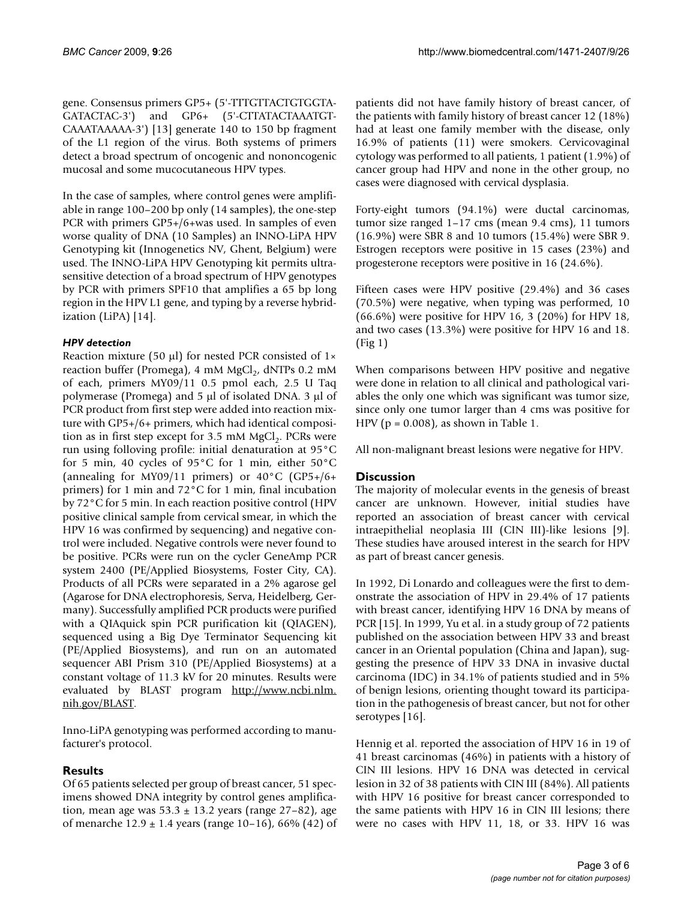gene. Consensus primers GP5+ (5'-TTTGTTACTGTGGTA-GATACTAC-3') and GP6+ (5'-CTTATACTAAATGT-CAAATAAAAA-3') [\[13](#page-5-5)] generate 140 to 150 bp fragment of the L1 region of the virus. Both systems of primers detect a broad spectrum of oncogenic and nononcogenic mucosal and some mucocutaneous HPV types.

In the case of samples, where control genes were amplifiable in range 100–200 bp only (14 samples), the one-step PCR with primers GP5+/6+was used. In samples of even worse quality of DNA (10 Samples) an INNO-LiPA HPV Genotyping kit (Innogenetics NV, Ghent, Belgium) were used. The INNO-LiPA HPV Genotyping kit permits ultrasensitive detection of a broad spectrum of HPV genotypes by PCR with primers SPF10 that amplifies a 65 bp long region in the HPV L1 gene, and typing by a reverse hybridization (LiPA) [[14](#page-5-6)].

#### *HPV detection*

Reaction mixture (50 μl) for nested PCR consisted of 1× reaction buffer (Promega), 4 mM MgCl<sub>2</sub>, dNTPs 0.2 mM of each, primers MY09/11 0.5 pmol each, 2.5 U Taq polymerase (Promega) and 5 μl of isolated DNA. 3 μl of PCR product from first step were added into reaction mixture with GP5+/6+ primers, which had identical composition as in first step except for  $3.5 \text{ mM } MgCl<sub>2</sub>$ . PCRs were run using folloving profile: initial denaturation at 95°C for 5 min, 40 cycles of 95°C for 1 min, either 50°C (annealing for MY09/11 primers) or  $40^{\circ}$ C (GP5+/6+ primers) for 1 min and 72°C for 1 min, final incubation by 72°C for 5 min. In each reaction positive control (HPV positive clinical sample from cervical smear, in which the HPV 16 was confirmed by sequencing) and negative control were included. Negative controls were never found to be positive. PCRs were run on the cycler GeneAmp PCR system 2400 (PE/Applied Biosystems, Foster City, CA). Products of all PCRs were separated in a 2% agarose gel (Agarose for DNA electrophoresis, Serva, Heidelberg, Germany). Successfully amplified PCR products were purified with a QIAquick spin PCR purification kit (QIAGEN), sequenced using a Big Dye Terminator Sequencing kit (PE/Applied Biosystems), and run on an automated sequencer ABI Prism 310 (PE/Applied Biosystems) at a constant voltage of 11.3 kV for 20 minutes. Results were evaluated by BLAST program [http://www.ncbi.nlm.](http://www.ncbi.nlm.nih.gov/BLAST) [nih.gov/BLAST.](http://www.ncbi.nlm.nih.gov/BLAST)

Inno-LiPA genotyping was performed according to manufacturer's protocol.

### **Results**

Of 65 patients selected per group of breast cancer, 51 specimens showed DNA integrity by control genes amplification, mean age was  $53.3 \pm 13.2$  years (range  $27-82$ ), age of menarche  $12.9 \pm 1.4$  years (range 10–16), 66% (42) of patients did not have family history of breast cancer, of the patients with family history of breast cancer 12 (18%) had at least one family member with the disease, only 16.9% of patients (11) were smokers. Cervicovaginal cytology was performed to all patients, 1 patient (1.9%) of cancer group had HPV and none in the other group, no cases were diagnosed with cervical dysplasia.

Forty-eight tumors (94.1%) were ductal carcinomas, tumor size ranged 1–17 cms (mean 9.4 cms), 11 tumors (16.9%) were SBR 8 and 10 tumors (15.4%) were SBR 9. Estrogen receptors were positive in 15 cases (23%) and progesterone receptors were positive in 16 (24.6%).

Fifteen cases were HPV positive (29.4%) and 36 cases (70.5%) were negative, when typing was performed, 10 (66.6%) were positive for HPV 16, 3 (20%) for HPV 18, and two cases (13.3%) were positive for HPV 16 and 18. (Fig [1](#page-3-0))

When comparisons between HPV positive and negative were done in relation to all clinical and pathological variables the only one which was significant was tumor size, since only one tumor larger than 4 cms was positive for HPV ( $p = 0.008$ ), as shown in Table [1.](#page-4-7)

All non-malignant breast lesions were negative for HPV.

### **Discussion**

The majority of molecular events in the genesis of breast cancer are unknown. However, initial studies have reported an association of breast cancer with cervical intraepithelial neoplasia III (CIN III)-like lesions [[9](#page-5-1)]. These studies have aroused interest in the search for HPV as part of breast cancer genesis.

In 1992, Di Lonardo and colleagues were the first to demonstrate the association of HPV in 29.4% of 17 patients with breast cancer, identifying HPV 16 DNA by means of PCR [[15\]](#page-5-7). In 1999, Yu et al. in a study group of 72 patients published on the association between HPV 33 and breast cancer in an Oriental population (China and Japan), suggesting the presence of HPV 33 DNA in invasive ductal carcinoma (IDC) in 34.1% of patients studied and in 5% of benign lesions, orienting thought toward its participation in the pathogenesis of breast cancer, but not for other serotypes [[16\]](#page-5-8).

Hennig et al. reported the association of HPV 16 in 19 of 41 breast carcinomas (46%) in patients with a history of CIN III lesions. HPV 16 DNA was detected in cervical lesion in 32 of 38 patients with CIN III (84%). All patients with HPV 16 positive for breast cancer corresponded to the same patients with HPV 16 in CIN III lesions; there were no cases with HPV 11, 18, or 33. HPV 16 was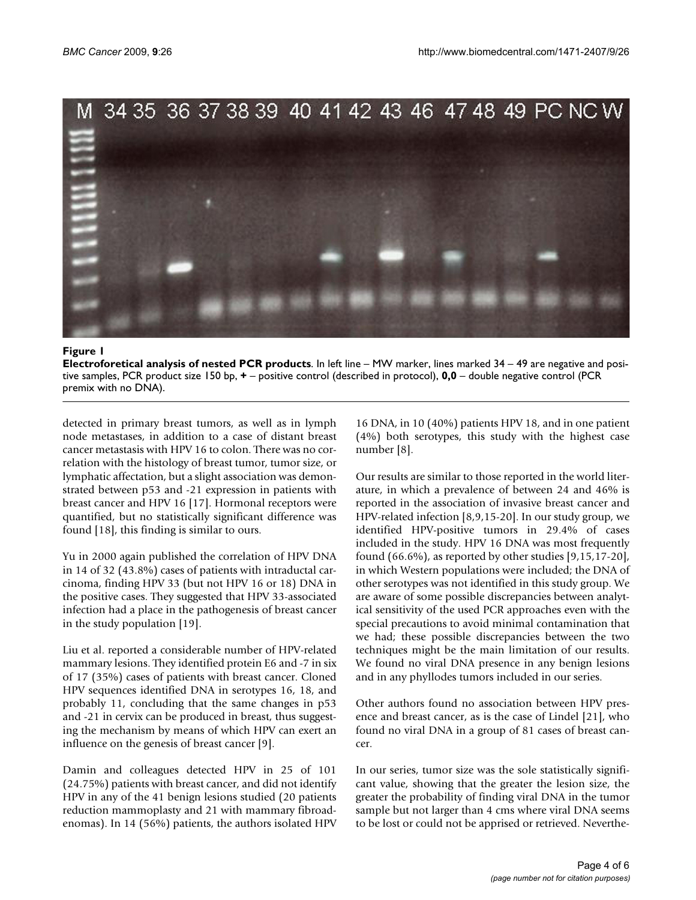<span id="page-3-0"></span>

#### Figure 1

**Electroforetical analysis of nested PCR products**. In left line – MW marker, lines marked 34 – 49 are negative and positive samples, PCR product size 150 bp, **+** – positive control (described in protocol), **0,0** – double negative control (PCR premix with no DNA).

detected in primary breast tumors, as well as in lymph node metastases, in addition to a case of distant breast cancer metastasis with HPV 16 to colon. There was no correlation with the histology of breast tumor, tumor size, or lymphatic affectation, but a slight association was demonstrated between p53 and -21 expression in patients with breast cancer and HPV 16 [\[17](#page-5-9)]. Hormonal receptors were quantified, but no statistically significant difference was found [[18](#page-5-10)], this finding is similar to ours.

Yu in 2000 again published the correlation of HPV DNA in 14 of 32 (43.8%) cases of patients with intraductal carcinoma, finding HPV 33 (but not HPV 16 or 18) DNA in the positive cases. They suggested that HPV 33-associated infection had a place in the pathogenesis of breast cancer in the study population [[19](#page-5-11)].

Liu et al. reported a considerable number of HPV-related mammary lesions. They identified protein E6 and -7 in six of 17 (35%) cases of patients with breast cancer. Cloned HPV sequences identified DNA in serotypes 16, 18, and probably 11, concluding that the same changes in p53 and -21 in cervix can be produced in breast, thus suggesting the mechanism by means of which HPV can exert an influence on the genesis of breast cancer [\[9\]](#page-5-1).

Damin and colleagues detected HPV in 25 of 101 (24.75%) patients with breast cancer, and did not identify HPV in any of the 41 benign lesions studied (20 patients reduction mammoplasty and 21 with mammary fibroadenomas). In 14 (56%) patients, the authors isolated HPV

16 DNA, in 10 (40%) patients HPV 18, and in one patient (4%) both serotypes, this study with the highest case number [[8\]](#page-5-0).

Our results are similar to those reported in the world literature, in which a prevalence of between 24 and 46% is reported in the association of invasive breast cancer and HPV-related infection [[8](#page-5-0),[9](#page-5-1),[15-](#page-5-7)[20\]](#page-5-12). In our study group, we identified HPV-positive tumors in 29.4% of cases included in the study. HPV 16 DNA was most frequently found  $(66.6\%)$ , as reported by other studies  $[9,15,17-20]$  $[9,15,17-20]$  $[9,15,17-20]$  $[9,15,17-20]$  $[9,15,17-20]$ , in which Western populations were included; the DNA of other serotypes was not identified in this study group. We are aware of some possible discrepancies between analytical sensitivity of the used PCR approaches even with the special precautions to avoid minimal contamination that we had; these possible discrepancies between the two techniques might be the main limitation of our results. We found no viral DNA presence in any benign lesions and in any phyllodes tumors included in our series.

Other authors found no association between HPV presence and breast cancer, as is the case of Lindel [[21\]](#page-5-13), who found no viral DNA in a group of 81 cases of breast cancer.

In our series, tumor size was the sole statistically significant value, showing that the greater the lesion size, the greater the probability of finding viral DNA in the tumor sample but not larger than 4 cms where viral DNA seems to be lost or could not be apprised or retrieved. Neverthe-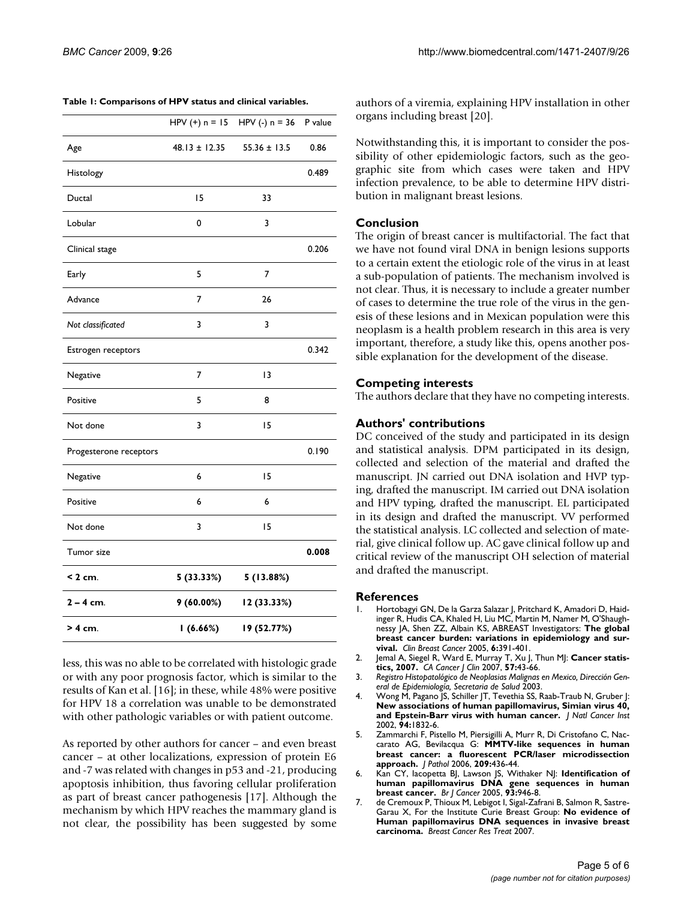<span id="page-4-7"></span>

| Table 1: Comparisons of HPV status and clinical variables. |  |
|------------------------------------------------------------|--|
|------------------------------------------------------------|--|

|                        | HPV $(+)$ n = 15  | HPV (-) $n = 36$ | P value |
|------------------------|-------------------|------------------|---------|
| Age                    | $48.13 \pm 12.35$ | $55.36 \pm 13.5$ | 0.86    |
| Histology              |                   |                  | 0.489   |
| Ductal                 | 15                | 33               |         |
| Lobular                | 0                 | 3                |         |
| Clinical stage         |                   |                  | 0.206   |
| Early                  | 5                 | 7                |         |
| Advance                | 7                 | 26               |         |
| Not classificated      | 3                 | 3                |         |
| Estrogen receptors     |                   |                  | 0.342   |
| Negative               | 7                 | 13               |         |
| Positive               | 5                 | 8                |         |
| Not done               | 3                 | 15               |         |
| Progesterone receptors |                   |                  | 0.190   |
| Negative               | 6                 | 15               |         |
| Positive               | 6                 | 6                |         |
| Not done               | 3                 | 15               |         |
| Tumor size             |                   |                  | 0.008   |
| $< 2$ cm.              | 5 (33.33%)        | 5 (13.88%)       |         |
| $2 - 4$ cm.            | 9(60.00%)         | 12 (33.33%)      |         |
| > 4 cm.                | 1(6.66%)          | 19 (52.77%)      |         |

less, this was no able to be correlated with histologic grade or with any poor prognosis factor, which is similar to the results of Kan et al. [[16\]](#page-5-8); in these, while 48% were positive for HPV 18 a correlation was unable to be demonstrated with other pathologic variables or with patient outcome.

As reported by other authors for cancer – and even breast cancer – at other localizations, expression of protein E6 and -7 was related with changes in p53 and -21, producing apoptosis inhibition, thus favoring cellular proliferation as part of breast cancer pathogenesis [[17](#page-5-9)]. Although the mechanism by which HPV reaches the mammary gland is not clear, the possibility has been suggested by some authors of a viremia, explaining HPV installation in other organs including breast [\[20](#page-5-12)].

Notwithstanding this, it is important to consider the possibility of other epidemiologic factors, such as the geographic site from which cases were taken and HPV infection prevalence, to be able to determine HPV distribution in malignant breast lesions.

#### **Conclusion**

The origin of breast cancer is multifactorial. The fact that we have not found viral DNA in benign lesions supports to a certain extent the etiologic role of the virus in at least a sub-population of patients. The mechanism involved is not clear. Thus, it is necessary to include a greater number of cases to determine the true role of the virus in the genesis of these lesions and in Mexican population were this neoplasm is a health problem research in this area is very important, therefore, a study like this, opens another possible explanation for the development of the disease.

#### **Competing interests**

The authors declare that they have no competing interests.

#### **Authors' contributions**

DC conceived of the study and participated in its design and statistical analysis. DPM participated in its design, collected and selection of the material and drafted the manuscript. JN carried out DNA isolation and HVP typing, drafted the manuscript. IM carried out DNA isolation and HPV typing, drafted the manuscript. EL participated in its design and drafted the manuscript. VV performed the statistical analysis. LC collected and selection of material, give clinical follow up. AC gave clinical follow up and critical review of the manuscript OH selection of material and drafted the manuscript.

#### **References**

- <span id="page-4-0"></span>1. Hortobagyi GN, De la Garza Salazar J, Pritchard K, Amadori D, Haidinger R, Hudis CA, Khaled H, Liu MC, Martin M, Namer M, O'Shaughnessy JA, Shen ZZ, Albain KS, ABREAST Investigators: **[The global](http://www.ncbi.nlm.nih.gov/entrez/query.fcgi?cmd=Retrieve&db=PubMed&dopt=Abstract&list_uids=16381622) [breast cancer burden: variations in epidemiology and sur](http://www.ncbi.nlm.nih.gov/entrez/query.fcgi?cmd=Retrieve&db=PubMed&dopt=Abstract&list_uids=16381622)[vival.](http://www.ncbi.nlm.nih.gov/entrez/query.fcgi?cmd=Retrieve&db=PubMed&dopt=Abstract&list_uids=16381622)** *Clin Breast Cancer* 2005, **6:**391-401.
- <span id="page-4-1"></span>2. Jemal A, Siegel R, Ward E, Murray T, Xu J, Thun MJ: **[Cancer statis](http://www.ncbi.nlm.nih.gov/entrez/query.fcgi?cmd=Retrieve&db=PubMed&dopt=Abstract&list_uids=17237035)[tics, 2007.](http://www.ncbi.nlm.nih.gov/entrez/query.fcgi?cmd=Retrieve&db=PubMed&dopt=Abstract&list_uids=17237035)** *CA Cancer J Clin* 2007, **57:**43-66.
- <span id="page-4-2"></span>3. *Registro Histopatológico de Neoplasias Malignas en Mexico, Dirección General de Epidemiología, Secretaria de Salud* 2003.
- <span id="page-4-3"></span>4. Wong M, Pagano JS, Schiller JT, Tevethia SS, Raab-Traub N, Gruber J: **[New associations of human papillomavirus, Simian virus 40,](http://www.ncbi.nlm.nih.gov/entrez/query.fcgi?cmd=Retrieve&db=PubMed&dopt=Abstract&list_uids=12488476) [and Epstein-Barr virus with human cancer.](http://www.ncbi.nlm.nih.gov/entrez/query.fcgi?cmd=Retrieve&db=PubMed&dopt=Abstract&list_uids=12488476)** *J Natl Cancer Inst* 2002, **94:**1832-6.
- <span id="page-4-4"></span>5. Zammarchi F, Pistello M, Piersigilli A, Murr R, Di Cristofano C, Naccarato AG, Bevilacqua G: **[MMTV-like sequences in human](http://www.ncbi.nlm.nih.gov/entrez/query.fcgi?cmd=Retrieve&db=PubMed&dopt=Abstract&list_uids=16710841) [breast cancer: a fluorescent PCR/laser microdissection](http://www.ncbi.nlm.nih.gov/entrez/query.fcgi?cmd=Retrieve&db=PubMed&dopt=Abstract&list_uids=16710841) [approach.](http://www.ncbi.nlm.nih.gov/entrez/query.fcgi?cmd=Retrieve&db=PubMed&dopt=Abstract&list_uids=16710841)** *J Pathol* 2006, **209:**436-44.
- <span id="page-4-5"></span>6. Kan CY, Iacopetta BJ, Lawson JS, Withaker NJ: **[Identification of](http://www.ncbi.nlm.nih.gov/entrez/query.fcgi?cmd=Retrieve&db=PubMed&dopt=Abstract&list_uids=16222323) [human papillomavirus DNA gene sequences in human](http://www.ncbi.nlm.nih.gov/entrez/query.fcgi?cmd=Retrieve&db=PubMed&dopt=Abstract&list_uids=16222323) [breast cancer.](http://www.ncbi.nlm.nih.gov/entrez/query.fcgi?cmd=Retrieve&db=PubMed&dopt=Abstract&list_uids=16222323)** *Br J Cancer* 2005, **93:**946-8.
- <span id="page-4-6"></span>7. de Cremoux P, Thioux M, Lebigot I, Sigal-Zafrani B, Salmon R, Sastre-Garau X, For the Institute Curie Breast Group: **[No evidence of](http://www.ncbi.nlm.nih.gov/entrez/query.fcgi?cmd=Retrieve&db=PubMed&dopt=Abstract&list_uids=17624590) [Human papillomavirus DNA sequences in invasive breast](http://www.ncbi.nlm.nih.gov/entrez/query.fcgi?cmd=Retrieve&db=PubMed&dopt=Abstract&list_uids=17624590) [carcinoma.](http://www.ncbi.nlm.nih.gov/entrez/query.fcgi?cmd=Retrieve&db=PubMed&dopt=Abstract&list_uids=17624590)** *Breast Cancer Res Treat* 2007.